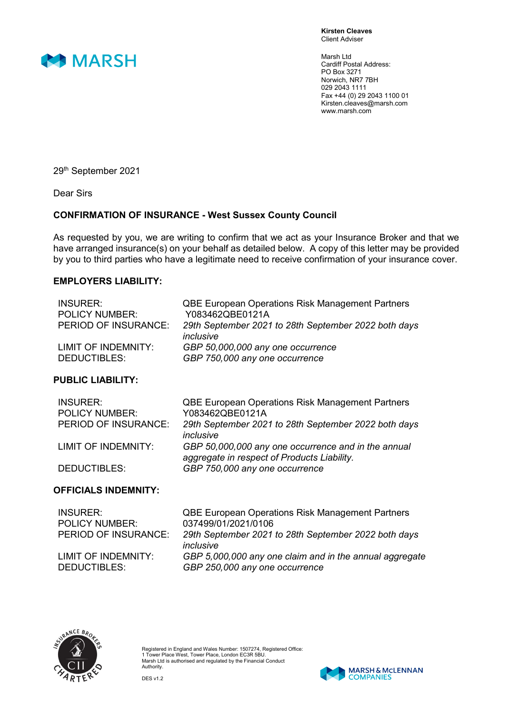

Kirsten Cleaves Client Adviser

Marsh Ltd Cardiff Postal Address: PO Box 3271 Norwich, NR7 7BH 029 2043 1111 Fax +44 (0) 29 2043 1100 01 Kirsten.cleaves@marsh.com www.marsh.com

29th September 2021

Dear Sirs

## CONFIRMATION OF INSURANCE - West Sussex County Council

As requested by you, we are writing to confirm that we act as your Insurance Broker and that we have arranged insurance(s) on your behalf as detailed below. A copy of this letter may be provided by you to third parties who have a legitimate need to receive confirmation of your insurance cover.

## EMPLOYERS LIABILITY:

| <b>INSURER:</b><br><b>POLICY NUMBER:</b>                         | <b>QBE European Operations Risk Management Partners</b><br>Y083462QBE0121A                                                  |
|------------------------------------------------------------------|-----------------------------------------------------------------------------------------------------------------------------|
| PERIOD OF INSURANCE:                                             | 29th September 2021 to 28th September 2022 both days<br>inclusive                                                           |
| LIMIT OF INDEMNITY:<br><b>DEDUCTIBLES:</b>                       | GBP 50,000,000 any one occurrence<br>GBP 750,000 any one occurrence                                                         |
| <b>PUBLIC LIABILITY:</b>                                         |                                                                                                                             |
| <b>INSURER:</b><br><b>POLICY NUMBER:</b><br>PERIOD OF INSURANCE: | QBE European Operations Risk Management Partners<br>Y083462QBE0121A<br>29th September 2021 to 28th September 2022 both days |
| LIMIT OF INDEMNITY:                                              | inclusive<br>GBP 50,000,000 any one occurrence and in the annual<br>aggregate in respect of Products Liability.             |
| <b>DEDUCTIBLES:</b>                                              | GBP 750,000 any one occurrence                                                                                              |
| <b>OFFICIALS INDEMNITY:</b>                                      |                                                                                                                             |
| <b>INSURER:</b><br><b>POLICY NUMBER:</b>                         | <b>QBE European Operations Risk Management Partners</b><br>037499/01/2021/0106                                              |
| PERIOD OF INSURANCE:                                             | 29th September 2021 to 28th September 2022 both days<br>inclusive                                                           |
| LIMIT OF INDEMNITY:<br><b>DEDUCTIBLES:</b>                       | GBP 5,000,000 any one claim and in the annual aggregate<br>GBP 250,000 any one occurrence                                   |